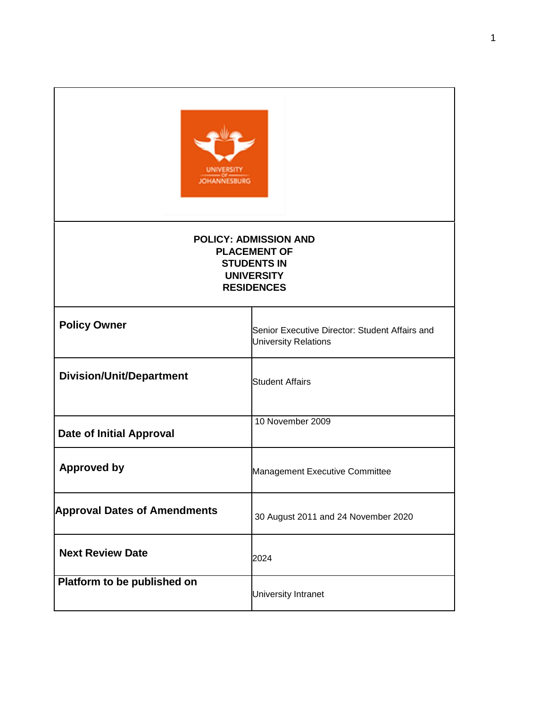| <b>JOHANNESBURG</b>                                                                                                 |                                                                               |
|---------------------------------------------------------------------------------------------------------------------|-------------------------------------------------------------------------------|
| <b>POLICY: ADMISSION AND</b><br><b>PLACEMENT OF</b><br><b>STUDENTS IN</b><br><b>UNIVERSITY</b><br><b>RESIDENCES</b> |                                                                               |
| <b>Policy Owner</b>                                                                                                 | Senior Executive Director: Student Affairs and<br><b>University Relations</b> |
| <b>Division/Unit/Department</b>                                                                                     | <b>Student Affairs</b>                                                        |
| <b>Date of Initial Approval</b>                                                                                     | 10 November 2009                                                              |
| <b>Approved by</b>                                                                                                  | Management Executive Committee                                                |
| <b>Approval Dates of Amendments</b>                                                                                 | 30 August 2011 and 24 November 2020                                           |
| <b>Next Review Date</b>                                                                                             | 2024                                                                          |
| Platform to be published on                                                                                         | University Intranet                                                           |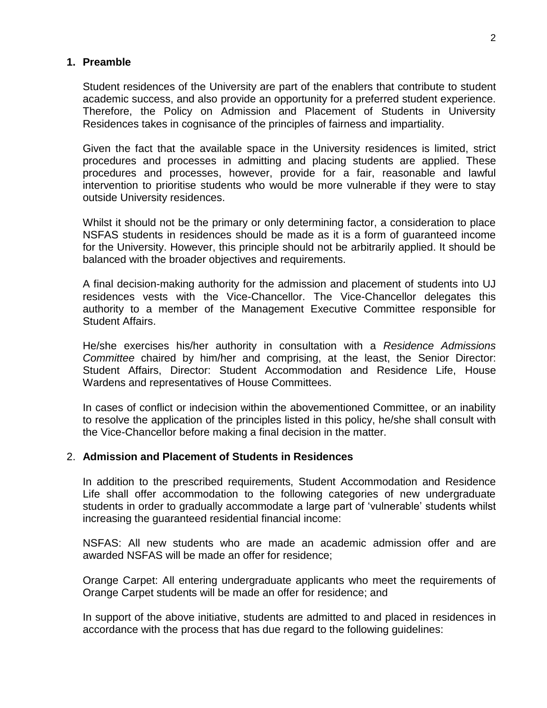### **1. Preamble**

Student residences of the University are part of the enablers that contribute to student academic success, and also provide an opportunity for a preferred student experience. Therefore, the Policy on Admission and Placement of Students in University Residences takes in cognisance of the principles of fairness and impartiality.

Given the fact that the available space in the University residences is limited, strict procedures and processes in admitting and placing students are applied. These procedures and processes, however, provide for a fair, reasonable and lawful intervention to prioritise students who would be more vulnerable if they were to stay outside University residences.

Whilst it should not be the primary or only determining factor, a consideration to place NSFAS students in residences should be made as it is a form of guaranteed income for the University. However, this principle should not be arbitrarily applied. It should be balanced with the broader objectives and requirements.

A final decision-making authority for the admission and placement of students into UJ residences vests with the Vice-Chancellor. The Vice-Chancellor delegates this authority to a member of the Management Executive Committee responsible for Student Affairs.

He/she exercises his/her authority in consultation with a *Residence Admissions Committee* chaired by him/her and comprising, at the least, the Senior Director: Student Affairs, Director: Student Accommodation and Residence Life, House Wardens and representatives of House Committees.

In cases of conflict or indecision within the abovementioned Committee, or an inability to resolve the application of the principles listed in this policy, he/she shall consult with the Vice-Chancellor before making a final decision in the matter.

#### 2. **Admission and Placement of Students in Residences**

In addition to the prescribed requirements, Student Accommodation and Residence Life shall offer accommodation to the following categories of new undergraduate students in order to gradually accommodate a large part of 'vulnerable' students whilst increasing the guaranteed residential financial income:

NSFAS: All new students who are made an academic admission offer and are awarded NSFAS will be made an offer for residence;

Orange Carpet: All entering undergraduate applicants who meet the requirements of Orange Carpet students will be made an offer for residence; and

In support of the above initiative, students are admitted to and placed in residences in accordance with the process that has due regard to the following guidelines: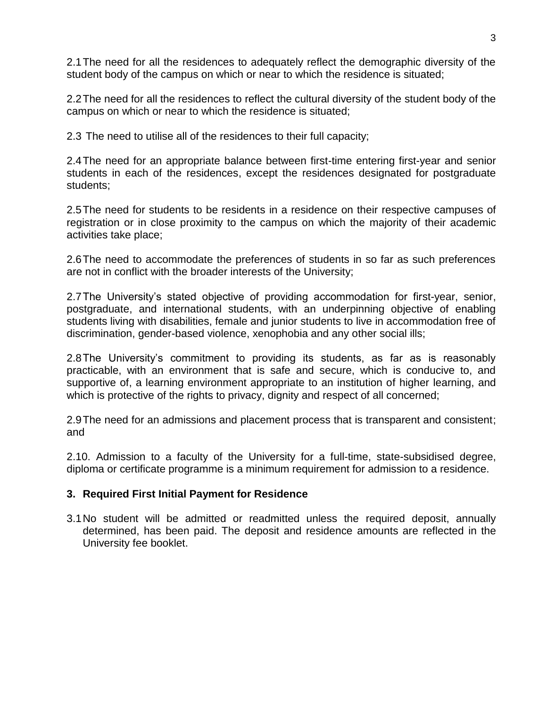2.1The need for all the residences to adequately reflect the demographic diversity of the student body of the campus on which or near to which the residence is situated;

2.2The need for all the residences to reflect the cultural diversity of the student body of the campus on which or near to which the residence is situated;

2.3 The need to utilise all of the residences to their full capacity;

2.4The need for an appropriate balance between first-time entering first-year and senior students in each of the residences, except the residences designated for postgraduate students;

2.5The need for students to be residents in a residence on their respective campuses of registration or in close proximity to the campus on which the majority of their academic activities take place;

2.6The need to accommodate the preferences of students in so far as such preferences are not in conflict with the broader interests of the University;

2.7The University's stated objective of providing accommodation for first-year, senior, postgraduate, and international students, with an underpinning objective of enabling students living with disabilities, female and junior students to live in accommodation free of discrimination, gender-based violence, xenophobia and any other social ills;

2.8The University's commitment to providing its students, as far as is reasonably practicable, with an environment that is safe and secure, which is conducive to, and supportive of, a learning environment appropriate to an institution of higher learning, and which is protective of the rights to privacy, dignity and respect of all concerned;

2.9The need for an admissions and placement process that is transparent and consistent; and

2.10. Admission to a faculty of the University for a full-time, state-subsidised degree, diploma or certificate programme is a minimum requirement for admission to a residence.

# **3. Required First Initial Payment for Residence**

3.1No student will be admitted or readmitted unless the required deposit, annually determined, has been paid. The deposit and residence amounts are reflected in the University fee booklet.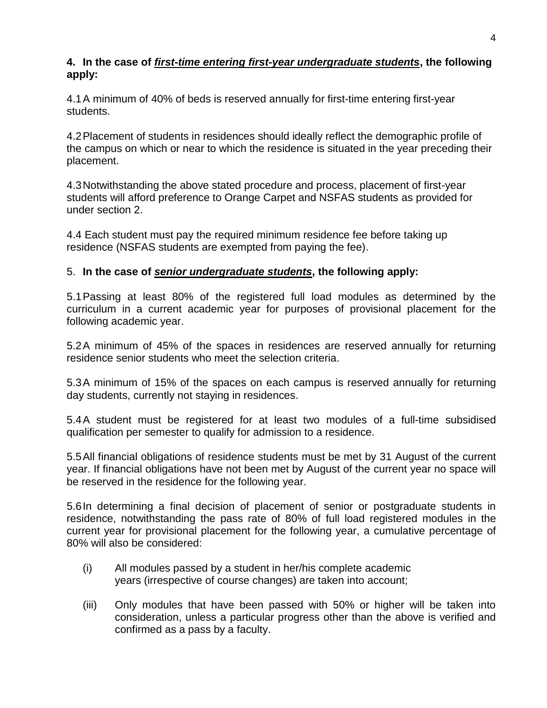## **4. In the case of** *first-time entering first-year undergraduate students***, the following apply:**

4.1A minimum of 40% of beds is reserved annually for first-time entering first-year students.

4.2Placement of students in residences should ideally reflect the demographic profile of the campus on which or near to which the residence is situated in the year preceding their placement.

4.3Notwithstanding the above stated procedure and process, placement of first-year students will afford preference to Orange Carpet and NSFAS students as provided for under section 2.

4.4 Each student must pay the required minimum residence fee before taking up residence (NSFAS students are exempted from paying the fee).

# 5. **In the case of** *senior undergraduate students***, the following apply:**

5.1Passing at least 80% of the registered full load modules as determined by the curriculum in a current academic year for purposes of provisional placement for the following academic year.

5.2A minimum of 45% of the spaces in residences are reserved annually for returning residence senior students who meet the selection criteria.

5.3A minimum of 15% of the spaces on each campus is reserved annually for returning day students, currently not staying in residences.

5.4A student must be registered for at least two modules of a full-time subsidised qualification per semester to qualify for admission to a residence.

5.5All financial obligations of residence students must be met by 31 August of the current year. If financial obligations have not been met by August of the current year no space will be reserved in the residence for the following year.

5.6In determining a final decision of placement of senior or postgraduate students in residence, notwithstanding the pass rate of 80% of full load registered modules in the current year for provisional placement for the following year, a cumulative percentage of 80% will also be considered:

- (i) All modules passed by a student in her/his complete academic years (irrespective of course changes) are taken into account;
- (iii) Only modules that have been passed with 50% or higher will be taken into consideration, unless a particular progress other than the above is verified and confirmed as a pass by a faculty.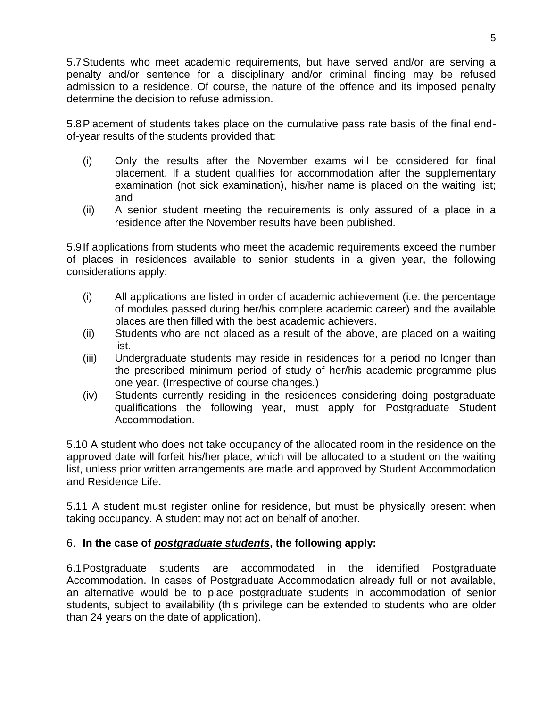5.7Students who meet academic requirements, but have served and/or are serving a penalty and/or sentence for a disciplinary and/or criminal finding may be refused admission to a residence. Of course, the nature of the offence and its imposed penalty determine the decision to refuse admission.

5.8Placement of students takes place on the cumulative pass rate basis of the final endof-year results of the students provided that:

- (i) Only the results after the November exams will be considered for final placement. If a student qualifies for accommodation after the supplementary examination (not sick examination), his/her name is placed on the waiting list; and
- (ii) A senior student meeting the requirements is only assured of a place in a residence after the November results have been published.

5.9If applications from students who meet the academic requirements exceed the number of places in residences available to senior students in a given year, the following considerations apply:

- (i) All applications are listed in order of academic achievement (i.e. the percentage of modules passed during her/his complete academic career) and the available places are then filled with the best academic achievers.
- (ii) Students who are not placed as a result of the above, are placed on a waiting list.
- (iii) Undergraduate students may reside in residences for a period no longer than the prescribed minimum period of study of her/his academic programme plus one year. (Irrespective of course changes.)
- (iv) Students currently residing in the residences considering doing postgraduate qualifications the following year, must apply for Postgraduate Student Accommodation.

5.10 A student who does not take occupancy of the allocated room in the residence on the approved date will forfeit his/her place, which will be allocated to a student on the waiting list, unless prior written arrangements are made and approved by Student Accommodation and Residence Life.

5.11 A student must register online for residence, but must be physically present when taking occupancy. A student may not act on behalf of another.

# 6. **In the case of** *postgraduate students***, the following apply:**

6.1Postgraduate students are accommodated in the identified Postgraduate Accommodation. In cases of Postgraduate Accommodation already full or not available, an alternative would be to place postgraduate students in accommodation of senior students, subject to availability (this privilege can be extended to students who are older than 24 years on the date of application).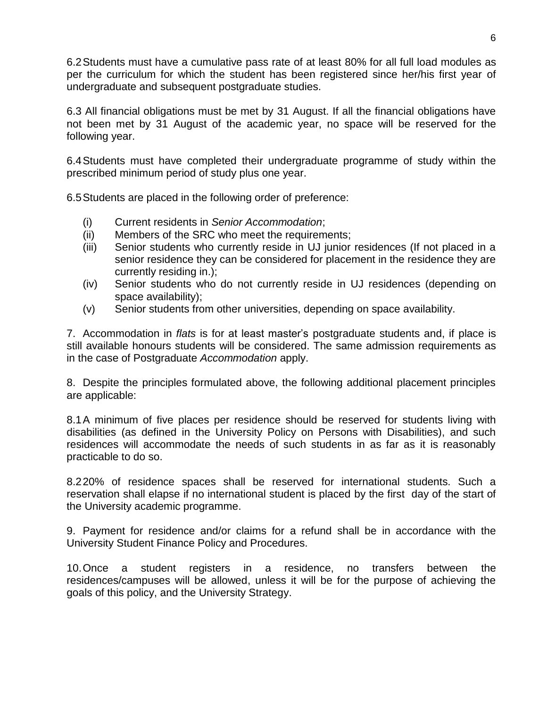6.2Students must have a cumulative pass rate of at least 80% for all full load modules as per the curriculum for which the student has been registered since her/his first year of undergraduate and subsequent postgraduate studies.

6.3 All financial obligations must be met by 31 August. If all the financial obligations have not been met by 31 August of the academic year, no space will be reserved for the following year.

6.4Students must have completed their undergraduate programme of study within the prescribed minimum period of study plus one year.

6.5Students are placed in the following order of preference:

- (i) Current residents in *Senior Accommodation*;
- (ii) Members of the SRC who meet the requirements;
- (iii) Senior students who currently reside in UJ junior residences (If not placed in a senior residence they can be considered for placement in the residence they are currently residing in.);
- (iv) Senior students who do not currently reside in UJ residences (depending on space availability);
- (v) Senior students from other universities, depending on space availability.

7. Accommodation in *flats* is for at least master's postgraduate students and, if place is still available honours students will be considered. The same admission requirements as in the case of Postgraduate *Accommodation* apply.

8. Despite the principles formulated above, the following additional placement principles are applicable:

8.1A minimum of five places per residence should be reserved for students living with disabilities (as defined in the University Policy on Persons with Disabilities), and such residences will accommodate the needs of such students in as far as it is reasonably practicable to do so.

8.220% of residence spaces shall be reserved for international students. Such a reservation shall elapse if no international student is placed by the first day of the start of the University academic programme.

9. Payment for residence and/or claims for a refund shall be in accordance with the University Student Finance Policy and Procedures.

10.Once a student registers in a residence, no transfers between the residences/campuses will be allowed, unless it will be for the purpose of achieving the goals of this policy, and the University Strategy.